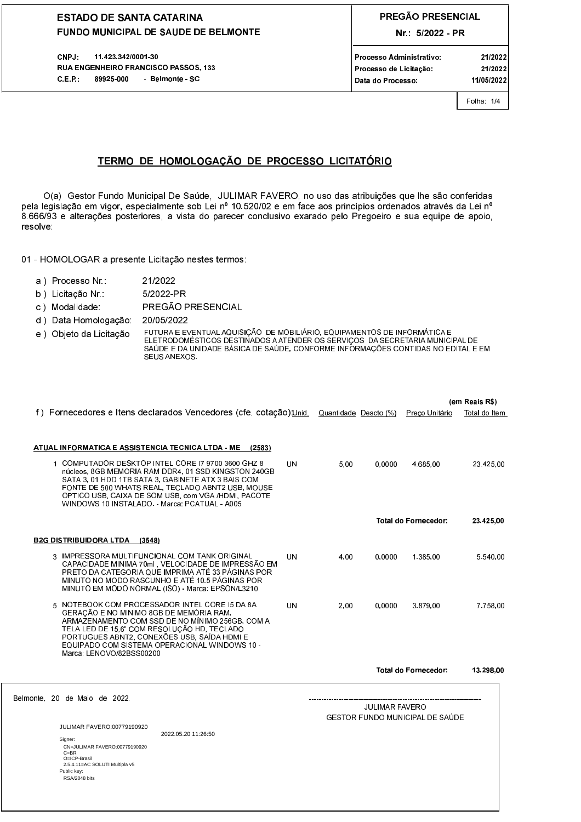CNPJ: 11.423.342/0001-30 RUA ENGENHEIRO FRANCISCO PASSOS, 133  $C.E.P.$ 89925-000 - Belmonte - SC

# PREGÃO PRESENCIAL

Nr.: 5/2022 - PR

Processo Administrativo: Processo de Licitação: Data do Processo:

21/2022 11/05/2022

21/2022

Folha: 1/4

# TERMO DE HOMOLOGAÇÃO DE PROCESSO LICITATÓRIO

O(a) Gestor Fundo Municipal De Saúde, JULIMAR FAVERO, no uso das atribuições que lhe são conferidas pela legislação em vigor, especialmente sob Lei nº 10.520/02 e em face aos princípios ordenados através da Lei nº 8.666/93 e alterações posteriores, a vista do parecer conclusivo exarado pelo Pregoeiro e sua equipe de apoio, resolve:

01 - HOMOLOGAR a presente Licitação nestes termos:

- a) Processo Nr.: 21/2022
- b) Licitação Nr : 5/2022-PR
- c) Modalidade: PREGÃO PRESENCIAL
- d) Data Homologação: 20/05/2022

Belmo

FUTURA E EVENTUAL AQUISIÇÃO DE MOBILIÁRIO, EQUIPAMENTOS DE INFORMÁTICA E<br>ELETRODOMÉSTICOS DESTINADOS A ATENDER OS SERVIÇOS DA SECRETARIA MUNICIPAL DE<br>SAÚDE E DA UNIDADE BÁSICA DE SAÚDE, CONFORME INFORMAÇÕES CONTIDAS NO EDI e) Objeto da Licitação SEUS ANEXOS.

|      |                                                                                                                                                                                                                                                                                                                        |    |                       |                            |                                 | (em Reais R\$) |
|------|------------------------------------------------------------------------------------------------------------------------------------------------------------------------------------------------------------------------------------------------------------------------------------------------------------------------|----|-----------------------|----------------------------|---------------------------------|----------------|
|      | f) Fornecedores e Itens declarados Vencedores (cfe. cotação):Unid.                                                                                                                                                                                                                                                     |    | Quantidade Descto (%) |                            | Preco Unitário                  | Total do Item  |
|      | ATUAL INFORMATICA E ASSISTENCIA TECNICA LTDA - ME<br>(2583)<br>1 COMPUTADOR DESKTOP INTEL CORE 17 9700 3600 GHZ 8<br>núcleos, 8GB MEMORIA RAM DDR4, 01 SSD KINGSTON 240GB                                                                                                                                              | UN | 5.00                  | 0.0000                     | 4.685.00                        | 23 425 00      |
|      | SATA 3, 01 HDD 1TB SATA 3, GABINETE ATX 3 BAIS COM<br>FONTE DE 500 WHATS REAL, TECLADO ABNT2 USB, MOUSE<br>OPTICO USB, CAIXA DE SOM USB, com VGA /HDMI, PACOTE<br>WINDOWS 10 INSTALADO - Marca: PCATUAL - A005                                                                                                         |    |                       |                            |                                 |                |
|      |                                                                                                                                                                                                                                                                                                                        |    |                       | <b>Total do Fornecedor</b> | 23.425,00                       |                |
|      | <b>B2G DISTRIBUIDORA LTDA</b><br>(3548)                                                                                                                                                                                                                                                                                |    |                       |                            |                                 |                |
|      | 3 IMPRESSORA MULTIFUNCIONAL COM TANK ORIGINAL<br>CAPACIDADE MINIMA 70mL, VELOCIDADE DE IMPRESSÃO EM<br>PRETO DA CATEGORIA QUE IMPRIMA ATÉ 33 PÁGINAS POR<br>MINUTO NO MODO RASCUNHO E ATÉ 10.5 PÁGINAS POR<br>MINUTO EM MODO NORMAL (ISO) - Marca: EPSON/L3210                                                         | UN | 4.00                  | 0.0000                     | 1.385.00                        | 5 540 00       |
|      | 5 NOTEBOOK COM PROCESSADOR INTEL CORE 15 DA 8A<br>GERAÇÃO E NO MINIMO 8GB DE MEMÓRIA RAM.<br>ARMAZENAMENTO COM SSD DE NO MÍNIMO 256GB, COM A<br>TELA LED DE 15.6" COM RESOLUÇÃO HD. TECLADO<br>PORTUGUES ABNT2, CONEXÕES USB, SAÍDA HDMI E<br>EQUIPADO COM SISTEMA OPERACIONAL WINDOWS 10 -<br>Marca LENOVO/82BSS00200 | UN | 2.00                  | 0.0000                     | 387900                          | 7 7 58 00      |
|      |                                                                                                                                                                                                                                                                                                                        |    |                       |                            | <b>Total do Fornecedor:</b>     | 13.298,00      |
| nte. | 20 de Maio de 2022.                                                                                                                                                                                                                                                                                                    |    |                       | JULIMAR FAVERO             | GESTOR FUNDO MUNICIPAL DE SAÚDE |                |
|      | JULIMAR FAVERO:00779190920                                                                                                                                                                                                                                                                                             |    |                       |                            |                                 |                |
|      | 2022.05.20 11:26:50<br>Signer:<br>CN=JULIMAR FAVERO:00779190920<br>$C = BR$<br>O=ICP-Brasil<br>2.5.4.11=AC SOLUTI Multipla v5<br>Public key:<br>RSA/2048 bits                                                                                                                                                          |    |                       |                            |                                 |                |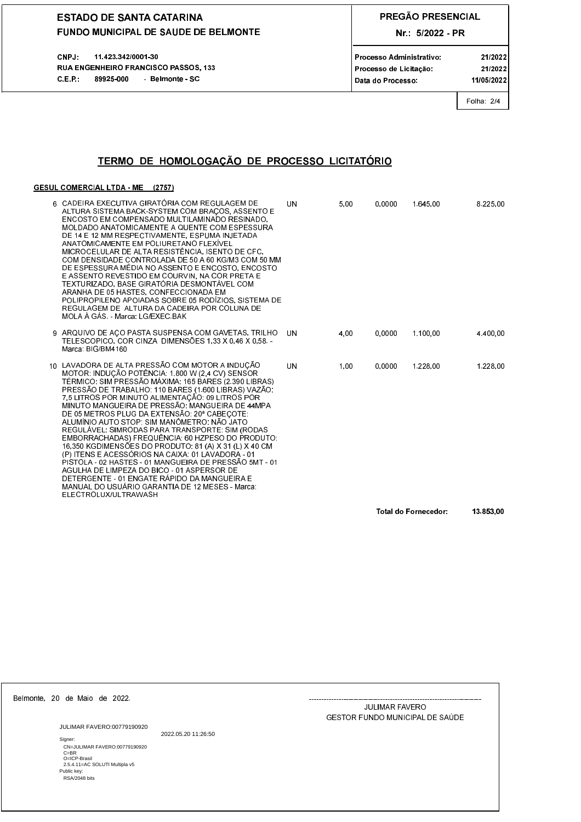11.423.342/0001-30 CNPJ: RUA ENGENHEIRO FRANCISCO PASSOS, 133 C.E.P.: 89925-000 Belmonte SC

# PREGÃO PRESENCIAL

Nr.: 5/2022 - PR

Processo Administrativo: Processo de Licitação Data do Processo:

21/2022 11/05/2022

21/2022

# Folha 2/4

# TERMO DE HOMOLOGAÇÃO DE PROCESSO LICITATÓRIO

### GESUL COMERCIAL LTDA - ME (2757)

| 6 CADEIRA EXECUTIVA GIRATÓRIA COM REGULAGEM DE<br>ALTURA SISTEMA BACK-SYSTEM COM BRAÇOS, ASSENTO E<br>ENCOSTO EM COMPENSADO MULTILAMINADO RESINADO.<br>MOLDADO ANATOMICAMENTE A QUENTE COM ESPESSURA<br>DE 14 E 12 MM RESPECTIVAMENTE. ESPUMA INJETADA<br>ANATOMICAMENTE EM POLIURETANO FLEXÍVEL<br>MICROCELULAR DE ALTA RESISTÊNCIA. ISENTO DE CFC.<br>COM DENSIDADE CONTROLADA DE 50 A 60 KG/M3 COM 50 MM<br>DE ESPESSURA MÉDIA NO ASSENTO E ENCOSTO, ENCOSTO<br>E ASSENTO REVESTIDO EM COURVIN, NA COR PRETA E<br>TEXTURIZADO, BASE GIRATÓRIA DESMONTÁVEL COM<br>ARANHA DE 05 HASTES, CONFECCIONADA EM<br>POLIPROPILENO APOIADAS SOBRE 05 RODIZIOS, SISTEMA DE<br>REGULAGEM DE ALTURA DA CADEIRA POR COLUNA DE<br>MOLA À GÁS - Marca LG/EXEC BAK                                                                                                                                 | UN        | 5.00 | 0.0000               | 1.645.00 | 8.225.00  |
|-------------------------------------------------------------------------------------------------------------------------------------------------------------------------------------------------------------------------------------------------------------------------------------------------------------------------------------------------------------------------------------------------------------------------------------------------------------------------------------------------------------------------------------------------------------------------------------------------------------------------------------------------------------------------------------------------------------------------------------------------------------------------------------------------------------------------------------------------------------------------------------|-----------|------|----------------------|----------|-----------|
| 9 ARQUIVO DE AÇO PASTA SUSPENSA COM GAVETAS, TRILHO<br>TELESCOPICO, COR CINZA DIMENSÕES 1,33 X 0,46 X 0,58.<br>Marca: BIG/BM4160                                                                                                                                                                                                                                                                                                                                                                                                                                                                                                                                                                                                                                                                                                                                                    | <b>UN</b> | 4.00 | 0.0000               | 1.100.00 | 4.400.00  |
| 10 LAVADORA DE ALTA PRESSÃO COM MOTOR A INDUÇÃO<br>MOTOR: INDUÇÃO POTÊNCIA: 1.800 W (2.4 CV) SENSOR<br>TÉRMICO: SIM PRESSÃO MÁXIMA: 165 BARES (2.390 LIBRAS)<br>PRESSÃO DE TRABALHO: 110 BARES (1.600 LIBRAS) VAZÃO:<br>7,5 LITROS POR MINUTO ALIMENTAÇÃO. 09 LITROS POR<br>MINUTO MANGUEIRA DE PRESSÃO. MANGUEIRA DE 44MPA<br>DE 05 METROS PLUG DA EXTENSÃO: 20ª CABEÇOTE:<br>ALUMÍNIO AUTO STOP: SIM MANÔMETRO: NÃO JATO<br>REGULÁVEL: SIMRODAS PARA TRANSPORTE: SIM (RODAS<br>EMBORRACHADAS) FREQUÊNCIA. 60 HZPESO DO PRODUTO:<br>16.350 KGDIMENSÕES DO PRODUTO: 81 (A) X 31 (L) X 40 CM<br>(P) ITENS E ACESSÓRIOS NA CAIXA: 01 LAVADORA - 01<br>PISTOLA - 02 HASTES - 01 MANGUEIRA DE PRESSÃO 5MT - 01<br>AGULHA DE LIMPEZA DO BICO - 01 ASPERSOR DE<br>DETERGENTE - 01 ENGATE RÁPIDO DA MANGUEIRA E<br>MANUAL DO USUÁRIO GARANTIA DE 12 MESES - Marca:<br>ELECTROLUX/ULTRAWASH | UN        | 1.00 | 0.0000               | 1.228,00 | 1.228.00  |
|                                                                                                                                                                                                                                                                                                                                                                                                                                                                                                                                                                                                                                                                                                                                                                                                                                                                                     |           |      | Total do Fornecedor: |          | 13 853,00 |

Belmonte, 20 de Maio de 2022.

**JULIMAR FAVERO:00779190920** Signer:

2022.05.20 11:26:50

olgoo<br>C⊨JULIMAR FAVERO:00779190920<br>C=BR<br>O⊨ICP-Brasil<br>2.5.4.11=AC SOLUTI Multipla v5 Public key:<br>RSA/2048 bits

**JULIMAR FAVERO** GESTOR FUNDO MUNICIPAL DE SAÚDE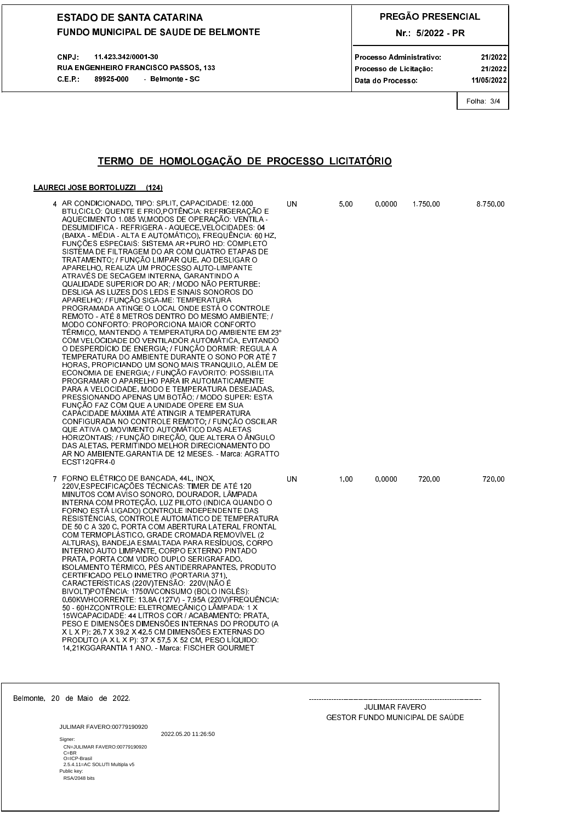11.423.342/0001-30 CNPJ: RUA ENGENHEIRO FRANCISCO PASSOS, 133 C.E.P.: 89925-000 Belmonte SC

# PREGÃO PRESENCIAL

Nr.: 5/2022 - PR

Processo Administrativo: Processo de Licitação Data do Processo:

21/2022 11/05/2022

21/2022

Folha 3/4

# TERMO DE HOMOLOGAÇÃO DE PROCESSO LICITATÓRIO

### LAURECI JOSE BORTOLUZZI (124)

| 4 AR CONDICIONADO, TIPO: SPLIT, CAPACIDADE: 12 000<br>BTU CICLO: QUENTE E FRIO POTÊNCIA: REFRIGERAÇÃO E<br>AQUECIMENTO 1.085 W MODOS DE OPERAÇÃO: VENTILA -<br>DESUMIDIFICA - REFRIGERA - AQUECE VELOCIDADES: 04<br>(BAIXA - MÉDIA - ALTA E AUTOMATICO), FREQUÊNCIA. 60 HZ.<br>FUNÇÕES ESPECIAIS: SISTEMA AR+PURO HD: COMPLETO<br>SISTEMA DE FILTRAGEM DO AR COM QUATRO ETAPAS DE<br>TRATAMENTO; / FUNÇÃO LIMPAR QUE, AO DESLIGAR O<br>APARELHO, REALIZA UM PROCESSO AUTO-LIMPANTE<br>ATRAVÉS DE SECAGEM INTERNA, GARANTINDO A<br>QUALIDADE SUPERIOR DO AR, / MODO NÃO PERTURBE:<br>DESLIGA AS LUZES DOS LEDS E SINAIS SONOROS DO<br>APARELHO; / FUNÇÃO SIGA-ME: TEMPERATURA<br>PROGRAMADA ATINGE O LOCAL ONDE ESTA O CONTROLE<br>REMOTO - ATÉ 8 METROS DENTRO DO MESMO AMBIENTE /<br>MODO CONFORTO: PROPORCIONA MAIOR CONFORTO<br>TÉRMICO, MANTENDO A TEMPERATURA DO AMBIENTE EM 23º<br>COM VELOCIDADE DO VENTILADOR AUTOMÁTICA, EVITANDO<br>O DESPERDICIO DE ENERGIA, / FUNÇÃO DORMIR. REGULA A<br>TEMPERATURA DO AMBIENTE DURANTE O SONO POR ATÉ 7<br>HORAS, PROPICIANDO UM SONO MAIS TRANQUILO, ALÉM DE<br>ECONOMIA DE ENERGIA, / FUNÇÃO FAVORITO: POSSIBILITA<br>PROGRAMAR O APARELHO PARA IR AUTOMATICAMENTE<br>PARA A VELOCIDADE, MODO E TEMPERATURA DESEJADAS,<br>PRESSIONANDO APENAS UM BOTÃO; / MODO SUPER: ESTA<br>FUNÇÃO FAZ COM QUE A UNIDADE OPERE EM SUA<br>CAPACIDADE MAXIMA ATÉ ATINGIR A TEMPERATURA<br>CONFIGURADA NO CONTROLE REMOTO: / FUNÇÃO OSCILAR<br>QUE ATIVA O MOVIMENTO AUTOMÁTICO DAS ALETAS<br>HORIZONTAIS, / FUNÇÃO DIREÇÃO, QUE ALTERA O ÂNGULO<br>DAS ALETAS, PERMITINDO MELHOR DIRECIONAMENTO DO<br>AR NO AMBIENTE GARANTIA DE 12 MESES - Marca: AGRATTO<br>ECST12QFR4-0 | UN | 5,00 | 0,0000 | 1.750,00 | 8.750,00 |
|------------------------------------------------------------------------------------------------------------------------------------------------------------------------------------------------------------------------------------------------------------------------------------------------------------------------------------------------------------------------------------------------------------------------------------------------------------------------------------------------------------------------------------------------------------------------------------------------------------------------------------------------------------------------------------------------------------------------------------------------------------------------------------------------------------------------------------------------------------------------------------------------------------------------------------------------------------------------------------------------------------------------------------------------------------------------------------------------------------------------------------------------------------------------------------------------------------------------------------------------------------------------------------------------------------------------------------------------------------------------------------------------------------------------------------------------------------------------------------------------------------------------------------------------------------------------------------------------------------------------------------------------------------------------------------------------------------|----|------|--------|----------|----------|
| 7 FORNO ELÉTRICO DE BANCADA, 44L, INOX,<br>220V ESPECIFICAÇÕES TÉCNICAS. TIMER DE ATÉ 120<br>MINUTOS COM AVISO SONORO, DOURADOR, LÃMPADA<br>INTERNA COM PROTEÇÃO, LUZ PILOTO (INDICA QUANDO O<br>FORNO ESTA LIGADO) CONTROLE INDEPENDENTE DAS<br>RESISTÊNCIAS, CONTROLE AUTOMATICO DE TEMPERATURA<br>DE 50 C A 320 C, PORTA COM ABERTURA LATERAL FRONTAL<br>COM TERMOPLASTICO, GRADE CROMADA REMOVIVEL (2<br>ALTURAS), BANDEJA ESMALTADA PARA RESÍDUOS, CORPO<br>INTERNO AUTO LIMPANTE, CORPO EXTERNO PINTADO<br>PRATA, PORTA COM VIDRO DUPLO SERIGRAFADO,<br>ISOLAMENTO TÉRMICO, PÉS ANTIDERRAPANTES, PRODUTO<br>CERTIFICADO PELO INMETRO (PORTARIA 371).<br>CARACTERÍSTICAS (220V)TENSÃO: 220V(NÃO É<br>BIVOLT)POTËNCIA: 1750WCONSUMO (BOLO INGLËS).<br>0,60KWHCORRENTE: 13,8A (127V) - 7,95A (220V)FREQUÊNCIA:<br>50 - 60HZCONTROLE: ELETROMECĂNICO LĂMPADA: 1 X<br>15WCAPACIDADE 44 LITROS COR / ACABAMENTO PRATA.<br>PESO E DIMENSÕES DIMENSÕES INTERNAS DO PRODUTO (A<br>X L X P): 26.7 X 39.2 X 42.5 CM DIMENSÕES EXTERNAS DO<br>PRODUTO (A X L X P) 37 X 57 5 X 52 CM, PESO LIQUIDO.<br>14.21KGGARANTIA 1 ANO. - Marca: FISCHER GOURMET                                                                                                                                                                                                                                                                                                                                                                                                                                                                                                                                                            | UN | 1.00 | 0.0000 | 720.00   | 720.00   |

Belmonte, 20 de Maio de 2022.

**JULIMAR FAVERO:00779190920** 2022.05.20 11:26:50 Signer: olgoo<br>C⊨JULIMAR FAVERO:00779190920<br>C=BR<br>O⊨ICP-Brasil<br>2.5.4.11=AC SOLUTI Multipla v5 Public key:<br>RSA/2048 bits

#### **JULIMAR FAVERO** GESTOR FUNDO MUNICIPAL DE SAÚDE